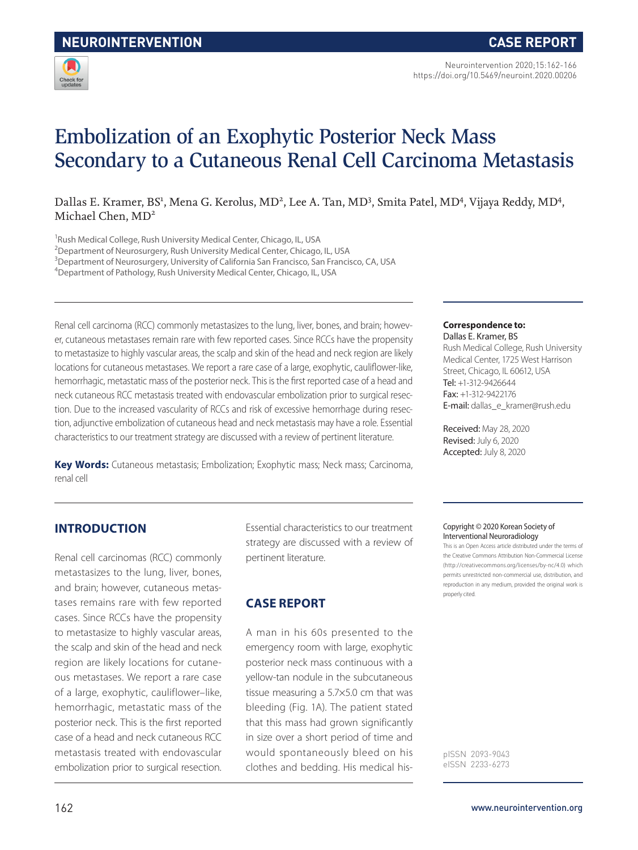

Neurointervention 2020;15:162-166 https://doi.org/10.5469/neuroint.2020.00206

# Embolization of an Exophytic Posterior Neck Mass Secondary to a Cutaneous Renal Cell Carcinoma Metastasis

Dallas E. Kramer, BS<sup>1</sup>, Mena G. Kerolus, MD<sup>2</sup>, Lee A. Tan, MD<sup>3</sup>, Smita Patel, MD<sup>4</sup>, Vijaya Reddy, MD<sup>4</sup>, Michael Chen, MD<sup>2</sup>

<sup>1</sup>Rush Medical College, Rush University Medical Center, Chicago, IL, USA

<sup>2</sup>Department of Neurosurgery, Rush University Medical Center, Chicago, IL, USA

<sup>3</sup>Department of Neurosurgery, University of California San Francisco, San Francisco, CA, USA

4 Department of Pathology, Rush University Medical Center, Chicago, IL, USA

Renal cell carcinoma (RCC) commonly metastasizes to the lung, liver, bones, and brain; however, cutaneous metastases remain rare with few reported cases. Since RCCs have the propensity to metastasize to highly vascular areas, the scalp and skin of the head and neck region are likely locations for cutaneous metastases. We report a rare case of a large, exophytic, cauliflower-like, hemorrhagic, metastatic mass of the posterior neck. This is the first reported case of a head and neck cutaneous RCC metastasis treated with endovascular embolization prior to surgical resection. Due to the increased vascularity of RCCs and risk of excessive hemorrhage during resection, adjunctive embolization of cutaneous head and neck metastasis may have a role. Essential characteristics to our treatment strategy are discussed with a review of pertinent literature.

**Key Words:** Cutaneous metastasis; Embolization; Exophytic mass; Neck mass; Carcinoma, renal cell

#### **Correspondence to:** Dallas E. Kramer, BS

Rush Medical College, Rush University Medical Center, 1725 West Harrison Street, Chicago, IL 60612, USA Tel: +1-312-9426644 Fax: +1-312-9422176 E-mail: dallas\_e\_kramer@rush.edu

Received: May 28, 2020 Revised: July 6, 2020 Accepted: July 8, 2020

# **INTRODUCTION**

Renal cell carcinomas (RCC) commonly metastasizes to the lung, liver, bones, and brain; however, cutaneous metastases remains rare with few reported cases. Since RCCs have the propensity to metastasize to highly vascular areas, the scalp and skin of the head and neck region are likely locations for cutaneous metastases. We report a rare case of a large, exophytic, cauliflower–like, hemorrhagic, metastatic mass of the posterior neck. This is the first reported case of a head and neck cutaneous RCC metastasis treated with endovascular embolization prior to surgical resection.

Essential characteristics to our treatment strategy are discussed with a review of pertinent literature.

# **CASE REPORT**

A man in his 60s presented to the emergency room with large, exophytic posterior neck mass continuous with a yellow-tan nodule in the subcutaneous tissue measuring a 5.7×5.0 cm that was bleeding (Fig. 1A). The patient stated that this mass had grown significantly in size over a short period of time and would spontaneously bleed on his clothes and bedding. His medical his-

#### Copyright © 2020 Korean Society of Interventional Neuroradiology

This is an Open Access article distributed under the terms of the Creative Commons Attribution Non-Commercial License (http://creativecommons.org/licenses/by-nc/4.0) which permits unrestricted non-commercial use, distribution, and reproduction in any medium, provided the original work is properly cited.

pISSN 2093-9043 eISSN 2233-6273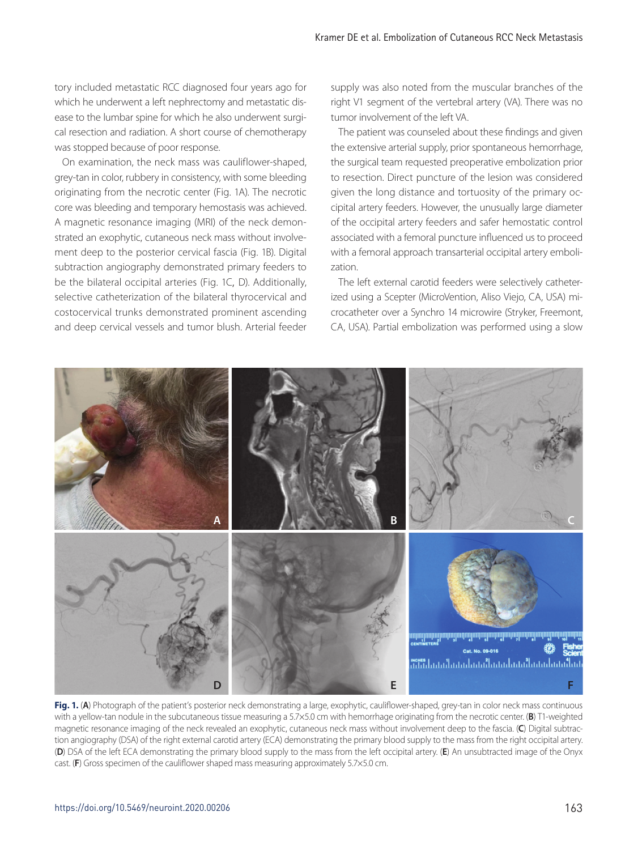tory included metastatic RCC diagnosed four years ago for which he underwent a left nephrectomy and metastatic disease to the lumbar spine for which he also underwent surgical resection and radiation. A short course of chemotherapy was stopped because of poor response.

On examination, the neck mass was cauliflower-shaped, grey-tan in color, rubbery in consistency, with some bleeding originating from the necrotic center (Fig. 1A). The necrotic core was bleeding and temporary hemostasis was achieved. A magnetic resonance imaging (MRI) of the neck demonstrated an exophytic, cutaneous neck mass without involvement deep to the posterior cervical fascia (Fig. 1B). Digital subtraction angiography demonstrated primary feeders to be the bilateral occipital arteries (Fig. 1C, D). Additionally, selective catheterization of the bilateral thyrocervical and costocervical trunks demonstrated prominent ascending and deep cervical vessels and tumor blush. Arterial feeder

supply was also noted from the muscular branches of the right V1 segment of the vertebral artery (VA). There was no tumor involvement of the left VA.

The patient was counseled about these findings and given the extensive arterial supply, prior spontaneous hemorrhage, the surgical team requested preoperative embolization prior to resection. Direct puncture of the lesion was considered given the long distance and tortuosity of the primary occipital artery feeders. However, the unusually large diameter of the occipital artery feeders and safer hemostatic control associated with a femoral puncture influenced us to proceed with a femoral approach transarterial occipital artery embolization.

The left external carotid feeders were selectively catheterized using a Scepter (MicroVention, Aliso Viejo, CA, USA) microcatheter over a Synchro 14 microwire (Stryker, Freemont, CA, USA). Partial embolization was performed using a slow



Fig. 1. (A) Photograph of the patient's posterior neck demonstrating a large, exophytic, cauliflower-shaped, grey-tan in color neck mass continuous with a yellow-tan nodule in the subcutaneous tissue measuring a 5.7×5.0 cm with hemorrhage originating from the necrotic center. (**B**) T1-weighted magnetic resonance imaging of the neck revealed an exophytic, cutaneous neck mass without involvement deep to the fascia. (**C**) Digital subtraction angiography (DSA) of the right external carotid artery (ECA) demonstrating the primary blood supply to the mass from the right occipital artery. (**D**) DSA of the left ECA demonstrating the primary blood supply to the mass from the left occipital artery. (**E**) An unsubtracted image of the Onyx cast. (**F**) Gross specimen of the cauliflower shaped mass measuring approximately 5.7×5.0 cm.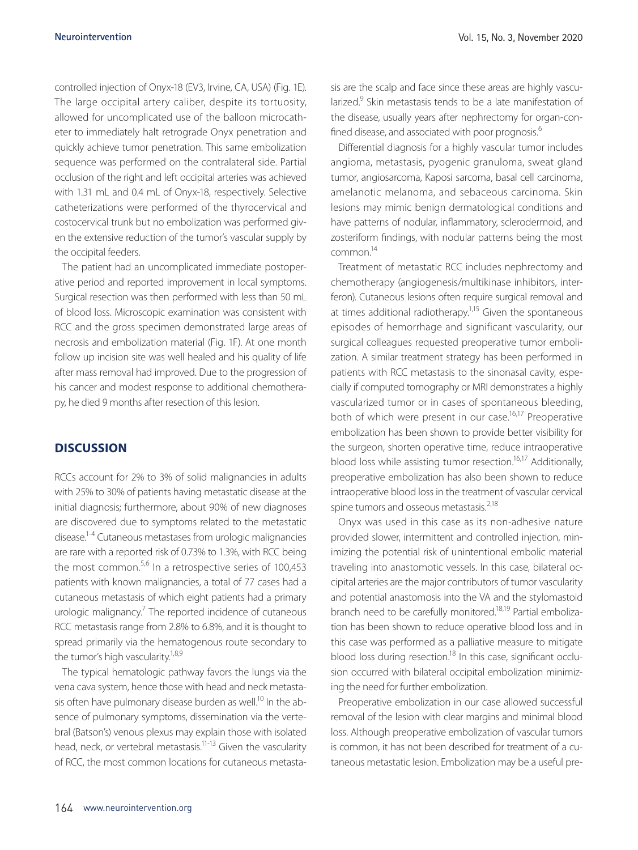controlled injection of Onyx-18 (EV3, Irvine, CA, USA) (Fig. 1E). The large occipital artery caliber, despite its tortuosity, allowed for uncomplicated use of the balloon microcatheter to immediately halt retrograde Onyx penetration and quickly achieve tumor penetration. This same embolization sequence was performed on the contralateral side. Partial occlusion of the right and left occipital arteries was achieved with 1.31 mL and 0.4 mL of Onyx-18, respectively. Selective catheterizations were performed of the thyrocervical and costocervical trunk but no embolization was performed given the extensive reduction of the tumor's vascular supply by the occipital feeders.

The patient had an uncomplicated immediate postoperative period and reported improvement in local symptoms. Surgical resection was then performed with less than 50 mL of blood loss. Microscopic examination was consistent with RCC and the gross specimen demonstrated large areas of necrosis and embolization material (Fig. 1F). At one month follow up incision site was well healed and his quality of life after mass removal had improved. Due to the progression of his cancer and modest response to additional chemotherapy, he died 9 months after resection of this lesion.

## **DISCUSSION**

RCCs account for 2% to 3% of solid malignancies in adults with 25% to 30% of patients having metastatic disease at the initial diagnosis; furthermore, about 90% of new diagnoses are discovered due to symptoms related to the metastatic disease.1-4 Cutaneous metastases from urologic malignancies are rare with a reported risk of 0.73% to 1.3%, with RCC being the most common.<sup>5,6</sup> In a retrospective series of 100,453 patients with known malignancies, a total of 77 cases had a cutaneous metastasis of which eight patients had a primary urologic malignancy.<sup>7</sup> The reported incidence of cutaneous RCC metastasis range from 2.8% to 6.8%, and it is thought to spread primarily via the hematogenous route secondary to the tumor's high vascularity.<sup>1,8,9</sup>

The typical hematologic pathway favors the lungs via the vena cava system, hence those with head and neck metastasis often have pulmonary disease burden as well.<sup>10</sup> In the absence of pulmonary symptoms, dissemination via the vertebral (Batson's) venous plexus may explain those with isolated head, neck, or vertebral metastasis.<sup>11-13</sup> Given the vascularity of RCC, the most common locations for cutaneous metastasis are the scalp and face since these areas are highly vascularized.<sup>9</sup> Skin metastasis tends to be a late manifestation of the disease, usually years after nephrectomy for organ-confined disease, and associated with poor prognosis.<sup>6</sup>

Differential diagnosis for a highly vascular tumor includes angioma, metastasis, pyogenic granuloma, sweat gland tumor, angiosarcoma, Kaposi sarcoma, basal cell carcinoma, amelanotic melanoma, and sebaceous carcinoma. Skin lesions may mimic benign dermatological conditions and have patterns of nodular, inflammatory, sclerodermoid, and zosteriform findings, with nodular patterns being the most common.14

Treatment of metastatic RCC includes nephrectomy and chemotherapy (angiogenesis/multikinase inhibitors, interferon). Cutaneous lesions often require surgical removal and at times additional radiotherapy.<sup>1,15</sup> Given the spontaneous episodes of hemorrhage and significant vascularity, our surgical colleagues requested preoperative tumor embolization. A similar treatment strategy has been performed in patients with RCC metastasis to the sinonasal cavity, especially if computed tomography or MRI demonstrates a highly vascularized tumor or in cases of spontaneous bleeding, both of which were present in our case.<sup>16,17</sup> Preoperative embolization has been shown to provide better visibility for the surgeon, shorten operative time, reduce intraoperative blood loss while assisting tumor resection.<sup>16,17</sup> Additionally, preoperative embolization has also been shown to reduce intraoperative blood loss in the treatment of vascular cervical spine tumors and osseous metastasis.<sup>2,18</sup>

Onyx was used in this case as its non-adhesive nature provided slower, intermittent and controlled injection, minimizing the potential risk of unintentional embolic material traveling into anastomotic vessels. In this case, bilateral occipital arteries are the major contributors of tumor vascularity and potential anastomosis into the VA and the stylomastoid branch need to be carefully monitored.<sup>18,19</sup> Partial embolization has been shown to reduce operative blood loss and in this case was performed as a palliative measure to mitigate blood loss during resection.<sup>18</sup> In this case, significant occlusion occurred with bilateral occipital embolization minimizing the need for further embolization.

Preoperative embolization in our case allowed successful removal of the lesion with clear margins and minimal blood loss. Although preoperative embolization of vascular tumors is common, it has not been described for treatment of a cutaneous metastatic lesion. Embolization may be a useful pre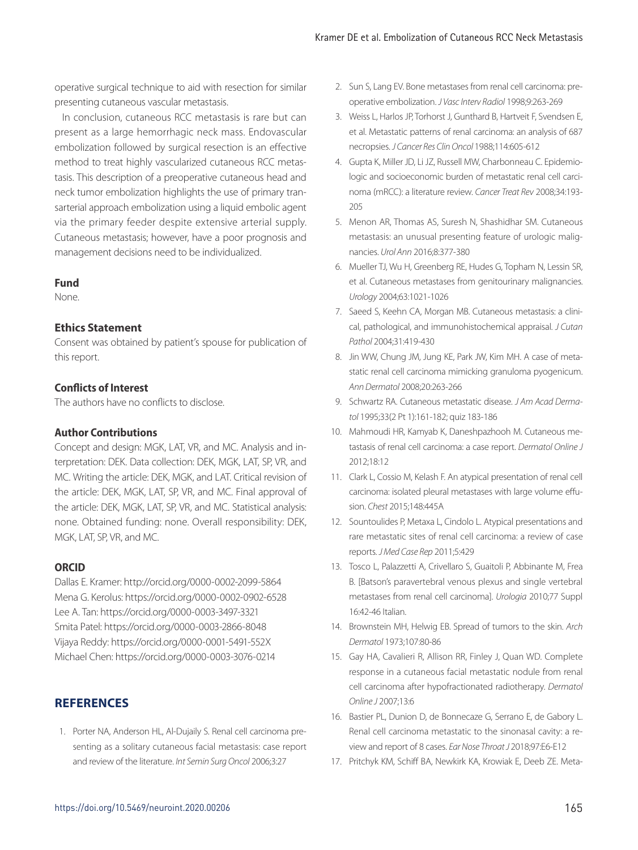operative surgical technique to aid with resection for similar presenting cutaneous vascular metastasis.

In conclusion, cutaneous RCC metastasis is rare but can present as a large hemorrhagic neck mass. Endovascular embolization followed by surgical resection is an effective method to treat highly vascularized cutaneous RCC metastasis. This description of a preoperative cutaneous head and neck tumor embolization highlights the use of primary transarterial approach embolization using a liquid embolic agent via the primary feeder despite extensive arterial supply. Cutaneous metastasis; however, have a poor prognosis and management decisions need to be individualized.

#### **Fund**

None.

## **Ethics Statement**

Consent was obtained by patient's spouse for publication of this report.

#### **Conflicts of Interest**

The authors have no conflicts to disclose.

#### **Author Contributions**

Concept and design: MGK, LAT, VR, and MC. Analysis and interpretation: DEK. Data collection: DEK, MGK, LAT, SP, VR, and MC. Writing the article: DEK, MGK, and LAT. Critical revision of the article: DEK, MGK, LAT, SP, VR, and MC. Final approval of the article: DEK, MGK, LAT, SP, VR, and MC. Statistical analysis: none. Obtained funding: none. Overall responsibility: DEK, MGK, LAT, SP, VR, and MC.

#### **ORCID**

Dallas E. Kramer: http://orcid.org/0000-0002-2099-5864 Mena G. Kerolus: https://orcid.org/0000-0002-0902-6528 Lee A. Tan: https://orcid.org/0000-0003-3497-3321 Smita Patel: https://orcid.org/0000-0003-2866-8048 Vijaya Reddy: https://orcid.org/0000-0001-5491-552X Michael Chen: https://orcid.org/0000-0003-3076-0214

# **REFERENCES**

1. Porter NA, Anderson HL, Al-Dujaily S. Renal cell carcinoma presenting as a solitary cutaneous facial metastasis: case report and review of the literature. *Int Semin Surg Oncol* 2006;3:27

- 2. Sun S, Lang EV. Bone metastases from renal cell carcinoma: preoperative embolization. *J Vasc Interv Radiol* 1998;9:263-269
- 3. Weiss L, Harlos JP, Torhorst J, Gunthard B, Hartveit F, Svendsen E, et al. Metastatic patterns of renal carcinoma: an analysis of 687 necropsies. *J Cancer Res Clin Oncol* 1988;114:605-612
- 4. Gupta K, Miller JD, Li JZ, Russell MW, Charbonneau C. Epidemiologic and socioeconomic burden of metastatic renal cell carcinoma (mRCC): a literature review. *Cancer Treat Rev* 2008;34:193- 205
- 5. Menon AR, Thomas AS, Suresh N, Shashidhar SM. Cutaneous metastasis: an unusual presenting feature of urologic malignancies. *Urol Ann* 2016;8:377-380
- 6. Mueller TJ, Wu H, Greenberg RE, Hudes G, Topham N, Lessin SR, et al. Cutaneous metastases from genitourinary malignancies. *Urology* 2004;63:1021-1026
- 7. Saeed S, Keehn CA, Morgan MB. Cutaneous metastasis: a clinical, pathological, and immunohistochemical appraisal. *J Cutan Pathol* 2004;31:419-430
- 8. Jin WW, Chung JM, Jung KE, Park JW, Kim MH. A case of metastatic renal cell carcinoma mimicking granuloma pyogenicum. *Ann Dermatol* 2008;20:263-266
- 9. Schwartz RA. Cutaneous metastatic disease. *J Am Acad Dermatol* 1995;33(2 Pt 1):161-182; quiz 183-186
- 10. Mahmoudi HR, Kamyab K, Daneshpazhooh M. Cutaneous metastasis of renal cell carcinoma: a case report. *Dermatol Online J* 2012;18:12
- 11. Clark L, Cossio M, Kelash F. An atypical presentation of renal cell carcinoma: isolated pleural metastases with large volume effusion. *Chest* 2015;148:445A
- 12. Sountoulides P, Metaxa L, Cindolo L. Atypical presentations and rare metastatic sites of renal cell carcinoma: a review of case reports. *J Med Case Rep* 2011;5:429
- 13. Tosco L, Palazzetti A, Crivellaro S, Guaitoli P, Abbinante M, Frea B. [Batson's paravertebral venous plexus and single vertebral metastases from renal cell carcinoma]. *Urologia* 2010;77 Suppl 16:42-46 Italian.
- 14. Brownstein MH, Helwig EB. Spread of tumors to the skin. *Arch Dermatol* 1973;107:80-86
- 15. Gay HA, Cavalieri R, Allison RR, Finley J, Quan WD. Complete response in a cutaneous facial metastatic nodule from renal cell carcinoma after hypofractionated radiotherapy. *Dermatol Online J* 2007;13:6
- 16. Bastier PL, Dunion D, de Bonnecaze G, Serrano E, de Gabory L. Renal cell carcinoma metastatic to the sinonasal cavity: a review and report of 8 cases. *Ear Nose Throat J* 2018;97:E6-E12
- 17. Pritchyk KM, Schiff BA, Newkirk KA, Krowiak E, Deeb ZE. Meta-